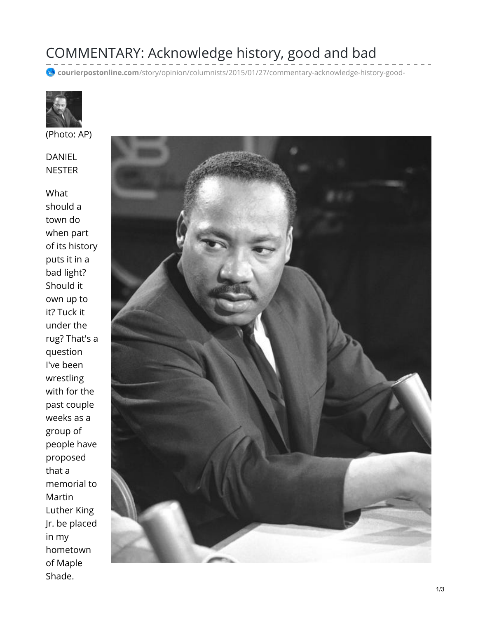## COMMENTARY: Acknowledge history, good and bad

courierpostonline.com[/story/opinion/columnists/2015/01/27/commentary-acknowledge-history-good-](https://www.courierpostonline.com/story/opinion/columnists/2015/01/27/commentary-acknowledge-history-good-bad/22435135/)



(Photo: AP)

DANIEL **NESTER** 

What should a town do when part of its history puts it in a bad light? Should it own up to it? Tuck it under the rug? That's a question I've been wrestling with for the past couple weeks as a group of people have proposed that a memorial to Martin Luther King Jr. be placed in my hometown of Maple Shade.

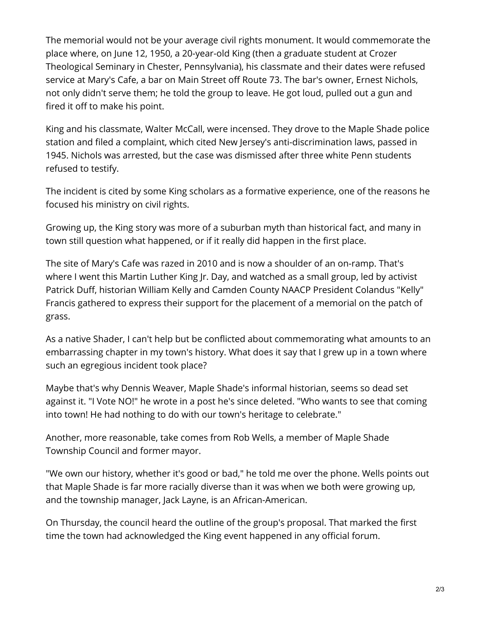The memorial would not be your average civil rights monument. It would commemorate the place where, on June 12, 1950, a 20-year-old King (then a graduate student at Crozer Theological Seminary in Chester, Pennsylvania), his classmate and their dates were refused service at Mary's Cafe, a bar on Main Street off Route 73. The bar's owner, Ernest Nichols, not only didn't serve them; he told the group to leave. He got loud, pulled out a gun and fired it off to make his point.

King and his classmate, Walter McCall, were incensed. They drove to the Maple Shade police station and filed a complaint, which cited New Jersey's anti-discrimination laws, passed in 1945. Nichols was arrested, but the case was dismissed after three white Penn students refused to testify.

The incident is cited by some King scholars as a formative experience, one of the reasons he focused his ministry on civil rights.

Growing up, the King story was more of a suburban myth than historical fact, and many in town still question what happened, or if it really did happen in the first place.

The site of Mary's Cafe was razed in 2010 and is now a shoulder of an on-ramp. That's where I went this Martin Luther King Jr. Day, and watched as a small group, led by activist Patrick Duff, historian William Kelly and Camden County NAACP President Colandus "Kelly" Francis gathered to express their support for the placement of a memorial on the patch of grass.

As a native Shader, I can't help but be conflicted about commemorating what amounts to an embarrassing chapter in my town's history. What does it say that I grew up in a town where such an egregious incident took place?

Maybe that's why Dennis Weaver, Maple Shade's informal historian, seems so dead set against it. "I Vote NO!" he wrote in a post he's since deleted. "Who wants to see that coming into town! He had nothing to do with our town's heritage to celebrate."

Another, more reasonable, take comes from Rob Wells, a member of Maple Shade Township Council and former mayor.

"We own our history, whether it's good or bad," he told me over the phone. Wells points out that Maple Shade is far more racially diverse than it was when we both were growing up, and the township manager, Jack Layne, is an African-American.

On Thursday, the council heard the outline of the group's proposal. That marked the first time the town had acknowledged the King event happened in any official forum.